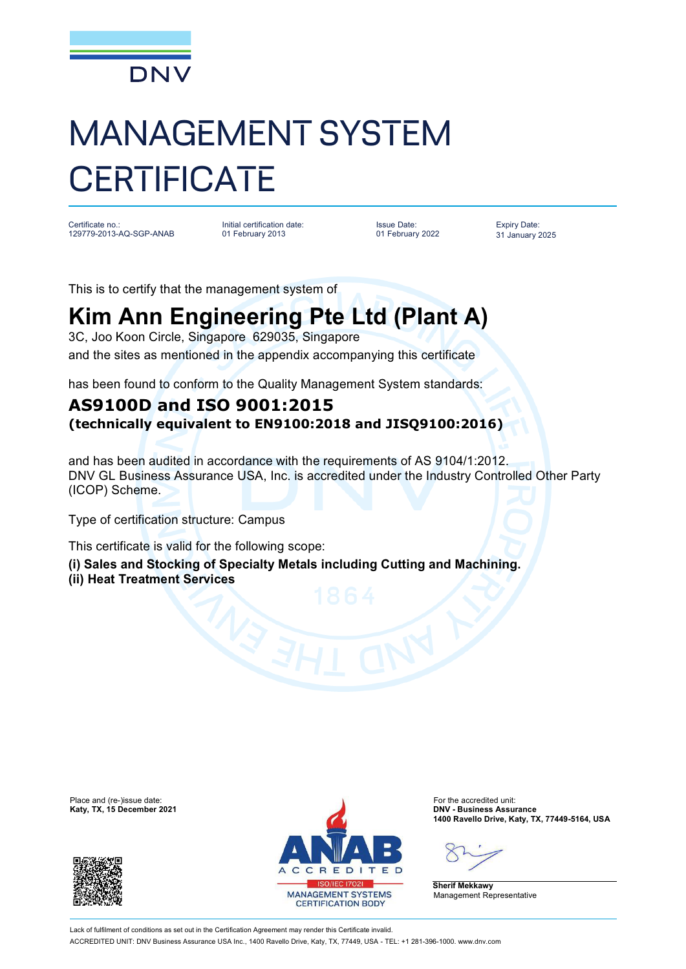

## MANAGEMENT SYSTEM **CERTIFICATE**

Certificate no.: 129779-2013-AQ-SGP-ANAB

Initial certification date: 01 February 2013

Issue Date: 01 February 2022 Expiry Date: 31 January 2025

This is to certify that the management system of

## **Kim Ann Engineering Pte Ltd (Plant A)**

3C, Joo Koon Circle, Singapore 629035, Singapore and the sites as mentioned in the appendix accompanying this certificate

has been found to conform to the Quality Management System standards:

## **AS9100D and ISO 9001:2015 (technically equivalent to EN9100:2018 and JISQ9100:2016)**

and has been audited in accordance with the requirements of AS 9104/1:2012. DNV GL Business Assurance USA, Inc. is accredited under the Industry Controlled Other Party (ICOP) Scheme.

Type of certification structure: Campus

This certificate is valid for the following scope:

**(i) Sales and Stocking of Specialty Metals including Cutting and Machining. (ii) Heat Treatment Services**

**Katy, TX, 15 December 2021** 





**1400 Ravello Drive, Katy, TX, 77449-5164, USA**

**Sherif Mekkawy** Management Representative

Lack of fulfilment of conditions as set out in the Certification Agreement may render this Certificate invalid ACCREDITED UNIT: DNV Business Assurance USA Inc., 1400 Ravello Drive, Katy, TX, 77449, USA - TEL: +1 281-396-1000. [www.dnv.com](http://www.dnv.com)